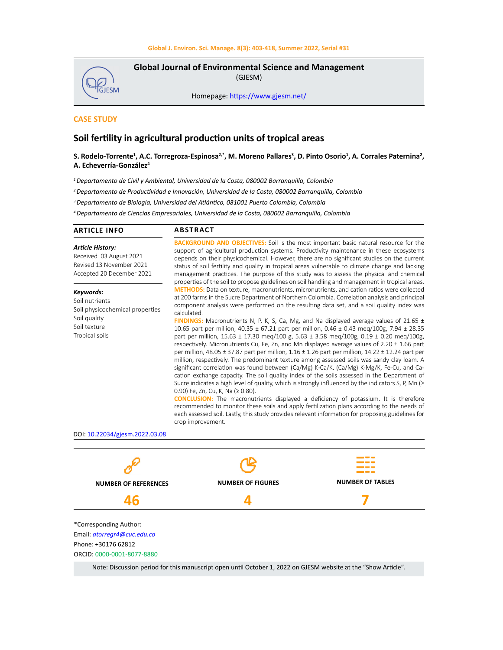

**Global Journal of Environmental Science and Management**  (GJESM)

Homepage: [https://www.gjesm.net/](https://www.gjesm.net/ )

# **CASE STUDY**

# **Soil fertility in agricultural production units of tropical areas**

# **S. Rodelo-Torrente1 , A.C. Torregroza-Espinosa2,\*, M. Moreno Pallares<sup>3</sup> , D. Pinto Osorio<sup>1</sup> , A. Corrales Paternina<sup>2</sup> , A. Echeverría-González4**

*1 Departamento de Civil y Ambiental, Universidad de la Costa, 080002 Barranquilla, Colombia*

*<sup>2</sup>Departamento de Productividad e Innovación, Universidad de la Costa, 080002 Barranquilla, Colombia*

*<sup>3</sup>Departamento de Biología, Universidad del Atlántico, 081001 Puerto Colombia, Colombia*

*4 Departamento de Ciencias Empresariales, Universidad de la Costa, 080002 Barranquilla, Colombia*

| <b>ARTICLE INFO</b>                                                                                              | <b>ABSTRACT</b>                                                                                                                                                                                                                                                                                                                                                                                                                                                                                                                                                                                                                                                                                                                                                                                                                                                                                                                                                                                                                                                                                                                    |                         |
|------------------------------------------------------------------------------------------------------------------|------------------------------------------------------------------------------------------------------------------------------------------------------------------------------------------------------------------------------------------------------------------------------------------------------------------------------------------------------------------------------------------------------------------------------------------------------------------------------------------------------------------------------------------------------------------------------------------------------------------------------------------------------------------------------------------------------------------------------------------------------------------------------------------------------------------------------------------------------------------------------------------------------------------------------------------------------------------------------------------------------------------------------------------------------------------------------------------------------------------------------------|-------------------------|
| <b>Article History:</b><br>Received 03 August 2021<br>Revised 13 November 2021<br>Accepted 20 December 2021      | <b>BACKGROUND AND OBJECTIVES:</b> Soil is the most important basic natural resource for the<br>support of agricultural production systems. Productivity maintenance in these ecosystems<br>depends on their physicochemical. However, there are no significant studies on the current<br>status of soil fertility and quality in tropical areas vulnerable to climate change and lacking<br>management practices. The purpose of this study was to assess the physical and chemical<br>properties of the soil to propose guidelines on soil handling and management in tropical areas.                                                                                                                                                                                                                                                                                                                                                                                                                                                                                                                                             |                         |
| Keywords:<br>Soil nutrients<br>Soil physicochemical properties<br>Soil quality<br>Soil texture<br>Tropical soils | <b>METHODS:</b> Data on texture, macronutrients, micronutrients, and cation ratios were collected<br>at 200 farms in the Sucre Department of Northern Colombia. Correlation analysis and principal<br>component analysis were performed on the resulting data set, and a soil quality index was<br>calculated.<br><b>FINDINGS:</b> Macronutrients N, P, K, S, Ca, Mg, and Na displayed average values of 21.65 $\pm$<br>10.65 part per million, 40.35 ± 67.21 part per million, 0.46 ± 0.43 meg/100g, 7.94 ± 28.35<br>part per million, $15.63 \pm 17.30$ meg/100 g, $5.63 \pm 3.58$ meg/100g, $0.19 \pm 0.20$ meg/100g,<br>respectively. Micronutrients Cu, Fe, Zn, and Mn displayed average values of $2.20 \pm 1.66$ part<br>per million, 48.05 ± 37.87 part per million, $1.16 \pm 1.26$ part per million, $14.22 \pm 12.24$ part per<br>million, respectively. The predominant texture among assessed soils was sandy clay loam. A<br>significant correlation was found between (Ca/Mg) K-Ca/K, (Ca/Mg) K-Mg/K, Fe-Cu, and Ca-<br>cation exchange capacity. The soil quality index of the soils assessed in the Department of |                         |
| DOI: 10.22034/gjesm.2022.03.08                                                                                   | Sucre indicates a high level of quality, which is strongly influenced by the indicators S, P, Mn $\geq$<br>0.90) Fe, Zn, Cu, K, Na ( $\geq$ 0.80).<br><b>CONCLUSION:</b> The macronutrients displayed a deficiency of potassium. It is therefore<br>recommended to monitor these soils and apply fertilization plans according to the needs of<br>each assessed soil. Lastly, this study provides relevant information for proposing guidelines for<br>crop improvement.                                                                                                                                                                                                                                                                                                                                                                                                                                                                                                                                                                                                                                                           |                         |
|                                                                                                                  |                                                                                                                                                                                                                                                                                                                                                                                                                                                                                                                                                                                                                                                                                                                                                                                                                                                                                                                                                                                                                                                                                                                                    |                         |
| NUIMBED OF DEFEDENCES                                                                                            | <b>NUMBER OF FIGURES</b>                                                                                                                                                                                                                                                                                                                                                                                                                                                                                                                                                                                                                                                                                                                                                                                                                                                                                                                                                                                                                                                                                                           | <b>NUMBER OF TABLES</b> |

**NUMBER OF REFERENCES 46**

**NUMBER OF FIGURES 4**

**7**

\*Corresponding Author: Email: *atorregr4@cuc.edu.co* Phone: +30176 62812 ORCID: 0000-0001-8077-8880

Note: Discussion period for this manuscript open until October 1, 2022 on GJESM website at the "Show Article".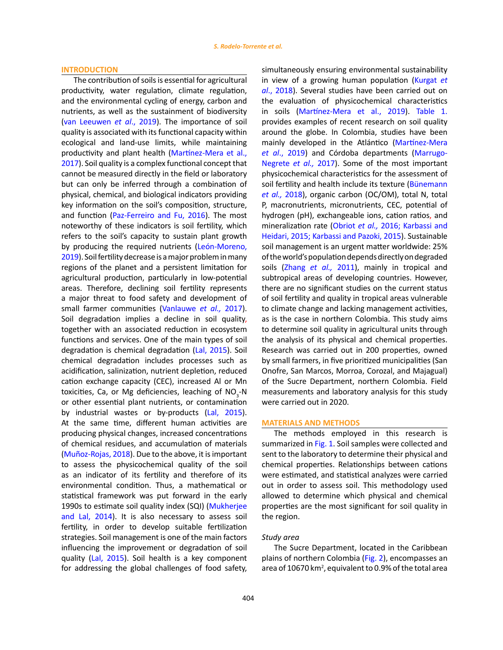### **INTRODUCTION**

The contribution of soils is essential for agricultural productivity, water regulation, climate regulation, and the environmental cycling of energy, carbon and nutrients, as well as the sustainment of biodiversity (van Leeuwen *et al*., 2019). The importance of soil quality is associated with its functional capacity within ecological and land-use limits, while maintaining productivity and plant health (Martínez-Mera et al., 2017). Soil quality is a complex functional concept that cannot be measured directly in the field or laboratory but can only be inferred through a combination of physical, chemical, and biological indicators providing key information on the soil's composition, structure, and function (Paz‐Ferreiro and Fu, 2016). The most noteworthy of these indicators is soil fertility, which refers to the soil's capacity to sustain plant growth by producing the required nutrients (León-Moreno, 2019). Soil fertility decrease is a major problem in many regions of the planet and a persistent limitation for agricultural production, particularly in low-potential areas. Therefore, declining soil fertility represents a major threat to food safety and development of small farmer communities (Vanlauwe *et al.,* 2017). Soil degradation implies a decline in soil quality, together with an associated reduction in ecosystem functions and services. One of the main types of soil degradation is chemical degradation (Lal, 2015). Soil chemical degradation includes processes such as acidification, salinization, nutrient depletion, reduced cation exchange capacity (CEC), increased Al or Mn toxicities, Ca, or Mg deficiencies, leaching of  $NO_{3}$ -N or other essential plant nutrients, or contamination by industrial wastes or by-products (Lal, 2015). At the same time, different human activities are producing physical changes, increased concentrations of chemical residues, and accumulation of materials (Muñoz-Rojas, 2018). Due to the above, it is important to assess the physicochemical quality of the soil as an indicator of its fertility and therefore of its environmental condition. Thus, a mathematical or statistical framework was put forward in the early 1990s to estimate soil quality index (SQI) (Mukherjee and Lal, 2014). It is also necessary to assess soil fertility, in order to develop suitable fertilization strategies. Soil management is one of the main factors influencing the improvement or degradation of soil quality (Lal, 2015). Soil health is a key component for addressing the global challenges of food safety,

simultaneously ensuring environmental sustainability in view of a growing human population (Kurgat *et al*., 2018). Several studies have been carried out on the evaluation of physicochemical characteristics in soils (Martínez-Mera et al., 2019). Table 1. provides examples of recent research on soil quality around the globe. In Colombia, studies have been mainly developed in the Atlántico (Martínez-Mera *et al*., 2019) and Córdoba departments (Marrugo-Negrete *et al.,* 2017). Some of the most important physicochemical characteristics for the assessment of soil fertility and health include its texture (Bünemann *et al.,* 2018), organic carbon (OC/OM), total N, total P, macronutrients, micronutrients, CEC, potential of hydrogen (pH), exchangeable ions, cation ratios, and mineralization rate (Obriot *et al.,* 2016; Karbassi and Heidari, 2015; Karbassi and Pazoki, 2015). Sustainable soil management is an urgent matter worldwide: 25% of the world's population depends directly on degraded soils (Zhang *et al.,* 2011), mainly in tropical and subtropical areas of developing countries. However, there are no significant studies on the current status of soil fertility and quality in tropical areas vulnerable to climate change and lacking management activities, as is the case in northern Colombia. This study aims to determine soil quality in agricultural units through the analysis of its physical and chemical properties. Research was carried out in 200 properties, owned by small farmers, in five prioritized municipalities (San Onofre, San Marcos, Morroa, Corozal, and Majagual) of the Sucre Department, northern Colombia. Field measurements and laboratory analysis for this study were carried out in 2020.

### **MATERIALS AND METHODS**

The methods employed in this research is summarized in Fig. 1. Soil samples were collected and sent to the laboratory to determine their physical and chemical properties. Relationships between cations were estimated, and statistical analyzes were carried out in order to assess soil. This methodology used allowed to determine which physical and chemical properties are the most significant for soil quality in the region.

### *Study area*

The Sucre Department, located in the Caribbean plains of northern Colombia (Fig. 2), encompasses an area of 10670 km<sup>2</sup>, equivalent to 0.9% of the total area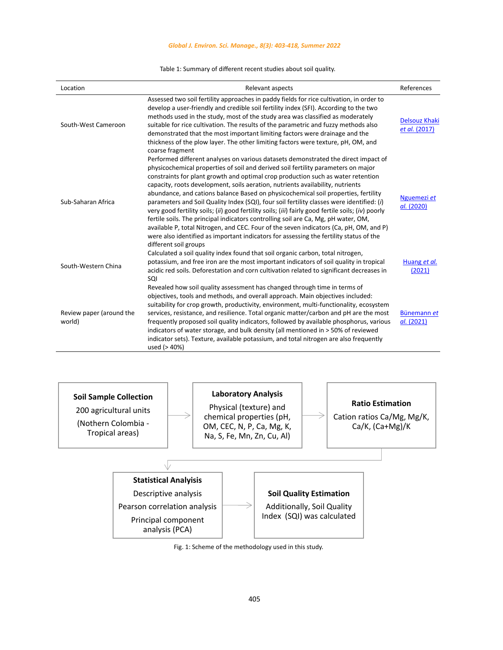### *Global J. Environ. Sci. Manage., 8(3): 403-418, Summer 2022*

## Table 1: Summary of different recent studies about soil quality. Table 1: Summary of different recent studies about soil quality.

| Location                           | Relevant aspects                                                                                                                                                                                                                                                                                                                                                                                                                                                                                                                                                                                                                                                                                                                                                                                                                                                                                                                          | References                            |
|------------------------------------|-------------------------------------------------------------------------------------------------------------------------------------------------------------------------------------------------------------------------------------------------------------------------------------------------------------------------------------------------------------------------------------------------------------------------------------------------------------------------------------------------------------------------------------------------------------------------------------------------------------------------------------------------------------------------------------------------------------------------------------------------------------------------------------------------------------------------------------------------------------------------------------------------------------------------------------------|---------------------------------------|
| South-West Cameroon                | Assessed two soil fertility approaches in paddy fields for rice cultivation, in order to<br>develop a user-friendly and credible soil fertility index (SFI). According to the two<br>methods used in the study, most of the study area was classified as moderately<br>suitable for rice cultivation. The results of the parametric and fuzzy methods also<br>demonstrated that the most important limiting factors were drainage and the<br>thickness of the plow layer. The other limiting factors were texture, pH, OM, and<br>coarse fragment                                                                                                                                                                                                                                                                                                                                                                                         | <b>Delsouz Khaki</b><br>et al. (2017) |
| Sub-Saharan Africa                 | Performed different analyses on various datasets demonstrated the direct impact of<br>physicochemical properties of soil and derived soil fertility parameters on major<br>constraints for plant growth and optimal crop production such as water retention<br>capacity, roots development, soils aeration, nutrients availability, nutrients<br>abundance, and cations balance Based on physicochemical soil properties, fertility<br>parameters and Soil Quality Index (SQI), four soil fertility classes were identified: (i)<br>very good fertility soils; (ii) good fertility soils; (iii) fairly good fertile soils; (iv) poorly<br>fertile soils. The principal indicators controlling soil are Ca, Mg, pH water, OM,<br>available P, total Nitrogen, and CEC. Four of the seven indicators (Ca, pH, OM, and P)<br>were also identified as important indicators for assessing the fertility status of the<br>different soil groups | Nguemezi et<br>al. (2020)             |
| South-Western China                | Calculated a soil quality index found that soil organic carbon, total nitrogen,<br>potassium, and free iron are the most important indicators of soil quality in tropical<br>acidic red soils. Deforestation and corn cultivation related to significant decreases in<br>SQI                                                                                                                                                                                                                                                                                                                                                                                                                                                                                                                                                                                                                                                              | Huang et al.<br>(2021)                |
| Review paper (around the<br>world) | Revealed how soil quality assessment has changed through time in terms of<br>objectives, tools and methods, and overall approach. Main objectives included:<br>suitability for crop growth, productivity, environment, multi-functionality, ecosystem<br>services, resistance, and resilience. Total organic matter/carbon and pH are the most<br>frequently proposed soil quality indicators, followed by available phosphorus, various<br>indicators of water storage, and bulk density (all mentioned in > 50% of reviewed<br>indicator sets). Texture, available potassium, and total nitrogen are also frequently<br>used (> 40%)                                                                                                                                                                                                                                                                                                    | Bünemann et<br>al. (2021)             |



Fig. 1: Scheme of the methodology used in this study.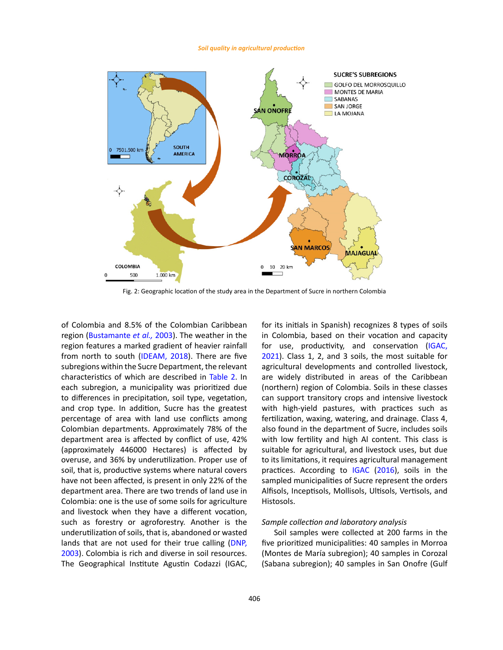#### *Soil quality in agricultural production*



Fig. 2: Geographic location of the study area in the Department of Sucre in northern Colombia

of Colombia and 8.5% of the Colombian Caribbean region (Bustamante *et al.,* 2003). The weather in the region features a marked gradient of heavier rainfall from north to south (IDEAM, 2018). There are five subregions within the Sucre Department, the relevant characteristics of which are described in Table 2. In each subregion, a municipality was prioritized due to differences in precipitation, soil type, vegetation, and crop type. In addition, Sucre has the greatest percentage of area with land use conflicts among Colombian departments. Approximately 78% of the department area is affected by conflict of use, 42% (approximately 446000 Hectares) is affected by overuse, and 36% by underutilization. Proper use of soil, that is, productive systems where natural covers have not been affected, is present in only 22% of the department area. There are two trends of land use in Colombia: one is the use of some soils for agriculture and livestock when they have a different vocation, such as forestry or agroforestry. Another is the underutilization of soils, that is, abandoned or wasted lands that are not used for their true calling (DNP. 2003). Colombia is rich and diverse in soil resources. The Geographical Institute Agustin Codazzi (IGAC,

for its initials in Spanish) recognizes 8 types of soils in Colombia, based on their vocation and capacity for use, productivity, and conservation (IGAC, 2021). Class 1, 2, and 3 soils, the most suitable for agricultural developments and controlled livestock, are widely distributed in areas of the Caribbean (northern) region of Colombia. Soils in these classes can support transitory crops and intensive livestock with high-yield pastures, with practices such as fertilization, waxing, watering, and drainage. Class 4, also found in the department of Sucre, includes soils with low fertility and high Al content. This class is suitable for agricultural, and livestock uses, but due to its limitations, it requires agricultural management practices. According to IGAC (2016), soils in the sampled municipalities of Sucre represent the orders Alfisols, Inceptisols, Mollisols, Ultisols, Vertisols, and Histosols.

# *Sample collection and laboratory analysis*

Soil samples were collected at 200 farms in the five prioritized municipalities: 40 samples in Morroa (Montes de María subregion); 40 samples in Corozal (Sabana subregion); 40 samples in San Onofre (Gulf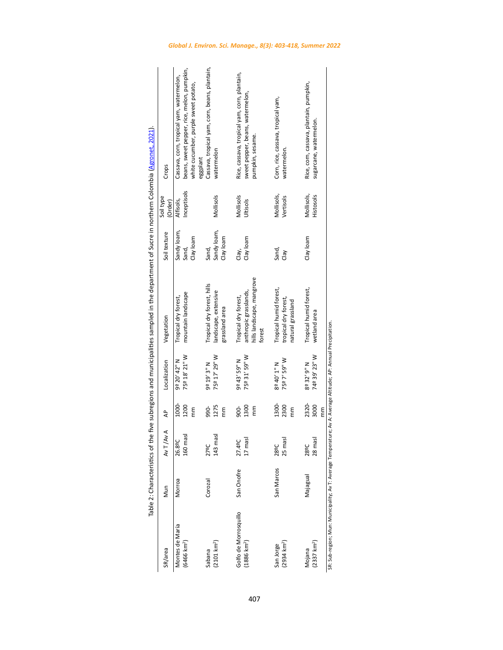| SR/area                                                                                                        | Mun        | T/Av A<br>₹       | ₹          | Localization  | Vegetation                                         | Soil texture | Soil type<br>(Order) | Crops                                                |
|----------------------------------------------------------------------------------------------------------------|------------|-------------------|------------|---------------|----------------------------------------------------|--------------|----------------------|------------------------------------------------------|
| Montes de María                                                                                                | Morroa     | .89C              | 1000-      | 9º 20' 42" N  | Tropical dry forest,                               | Sandy loam,  | Alfisols,            | Cassava, corn, tropical yam, watermelon,             |
| (6466 km <sup>2</sup> )                                                                                        |            | 160 mas           | 1200       | 75º 18' 21" W | mountain landscape                                 | Sand,        | Inceptisols          | beans, sweet pepper, rice, melon, pumpkin,           |
|                                                                                                                |            |                   | mm         |               |                                                    | Clay loam    |                      | white cucumber, purple sweet potato,<br>eggplant     |
| Sabana                                                                                                         | Corozal    | 27 <sup>o</sup> C | -066       | 9º 19' 3" N   | Tropical dry forest, hills                         | Sand,        |                      | Cassava, tropical yam, corn, beans, plantain,        |
| $(2101 \text{ km}^2)$                                                                                          |            | 143 mas           | 1275       | 75º 17' 29" W | landscape, extensive                               | Sandy loam,  | Mollisols            | watermelon                                           |
|                                                                                                                |            |                   | mm         |               | grassland area                                     | Clay loam    |                      |                                                      |
| Golfo de Morrosquillo                                                                                          | San Onofre | 49C               | 900-       | 9º 43' 59" N  | Tropical dry forest,                               | Clay,        | Mollisols            | Rice, cassava, tropical yam, corn, plantain,         |
| $(1886 \text{ km}^2)$                                                                                          |            | masl              | 1300<br>mm | 75º 31' 59" W | hills landscape, mangrove<br>anthropic grasslands, | Clay loam    | Jltisols             | sweet pepper, beans, watermelon,<br>pumpkin, sesame. |
|                                                                                                                |            |                   |            |               | forest                                             |              |                      |                                                      |
| San Jorge                                                                                                      | San Marcos | 28 <sup>o</sup> C | 1300-      | 8º 40' 1" N   | Tropical humid forest,                             | Sand,        | Mollisols,           | Corn, rice, cassava, tropical yam,                   |
| $(2934 \text{ km}^2)$                                                                                          |            | 25 mas            | 2300       | 75º 7' 59" W  | tropical dry forest,                               | Clay         | Vertisols            | watermelon.                                          |
|                                                                                                                |            |                   | mm         |               | natural grassland                                  |              |                      |                                                      |
| Mojana                                                                                                         | Majagual   | 28ºC              | 2320-      | 8º 32' 9" N   | Tropical humid forest,                             | Clay loam    | Mollisols,           | Rice, corn, cassava, plantain, pumpkin,              |
| $(2337 \text{ km}^2)$                                                                                          |            | imasl<br>28       | 3000       | 74º 39' 23" W | wetland area                                       |              | Histosols            | sugarcane, watermelon                                |
|                                                                                                                |            |                   | mm         |               |                                                    |              |                      |                                                      |
| SR: Sub-region; Mun: Municipality; Av T: Average Temperature; Av A: Average Altitude; AP: Annual Precipitation |            |                   |            |               |                                                    |              |                      |                                                      |

Table 2: Characteristics of the five subregions and municipalities sampled in the department of Sucre in northern Colombia (Agronet, 2021). Table 2: Characteristics of the five subregions and municipalities sampled in the department of Sucre in northern Colombia (Agronet, 2021).(Agronet, 2021).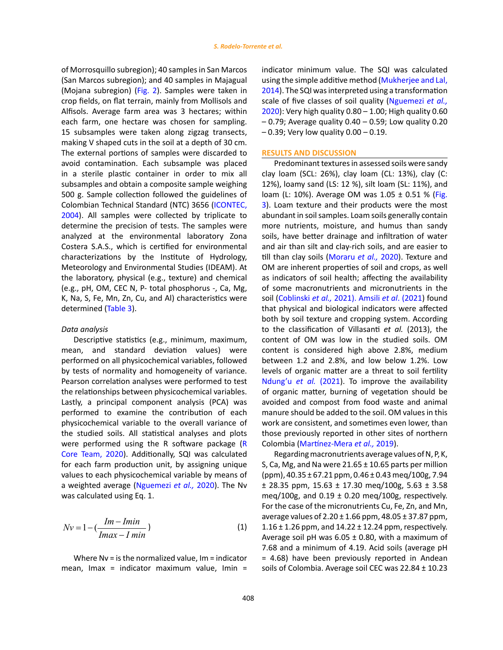of Morrosquillo subregion); 40 samples in San Marcos (San Marcos subregion); and 40 samples in Majagual (Mojana subregion) (Fig. 2). Samples were taken in crop fields, on flat terrain, mainly from Mollisols and Alfisols. Average farm area was 3 hectares; within each farm, one hectare was chosen for sampling. 15 subsamples were taken along zigzag transects, making V shaped cuts in the soil at a depth of 30 cm. The external portions of samples were discarded to avoid contamination. Each subsample was placed in a sterile plastic container in order to mix all subsamples and obtain a composite sample weighing 500 g. Sample collection followed the guidelines of Colombian Technical Standard (NTC) 3656 (ICONTEC, 2004). All samples were collected by triplicate to determine the precision of tests. The samples were analyzed at the environmental laboratory Zona Costera S.A.S., which is certified for environmental characterizations by the Institute of Hydrology, Meteorology and Environmental Studies (IDEAM). At the laboratory, physical (e.g., texture) and chemical (e.g., pH, OM, CEC N, P- total phosphorus -, Ca, Mg, K, Na, S, Fe, Mn, Zn, Cu, and Al) characteristics were determined (Table 3).

### *Data analysis*

Descriptive statistics (e.g., minimum, maximum, mean, and standard deviation values) were performed on all physicochemical variables, followed by tests of normality and homogeneity of variance. Pearson correlation analyses were performed to test the relationships between physicochemical variables. Lastly, a principal component analysis (PCA) was performed to examine the contribution of each physicochemical variable to the overall variance of the studied soils. All statistical analyses and plots were performed using the R software package (R Core Team, 2020). Additionally, SQI was calculated for each farm production unit, by assigning unique values to each physicochemical variable by means of a weighted average (Nguemezi *et al.,* 2020). The Nv was calculated using Eq. 1.

$$
Nv = 1 - \left(\frac{Im - Imin}{Imax - I min}\right)
$$
\n(1)

Where Nv = is the normalized value, Im = indicator mean, Imax = indicator maximum value, Imin = indicator minimum value. The SQI was calculated using the simple additive method (Mukherjee and Lal, 2014). The SQI was interpreted using a transformation scale of five classes of soil quality (Nguemezi *et al.,* 2020): Very high quality 0.80 – 1.00; High quality 0.60  $-0.79$ ; Average quality  $0.40 - 0.59$ ; Low quality  $0.20$ – 0.39; Very low quality 0.00 – 0.19.

#### **RESULTS AND DISCUSSION**

Predominant textures in assessed soils were sandy clay loam (SCL: 26%), clay loam (CL: 13%), clay (C: 12%), loamy sand (LS: 12 %), silt loam (SL: 11%), and loam (L: 10%). Average OM was 1.05 ± 0.51 % (Fig. 3). Loam texture and their products were the most abundant in soil samples. Loam soils generally contain more nutrients, moisture, and humus than sandy soils, have better drainage and infiltration of water and air than silt and clay-rich soils, and are easier to till than clay soils (Moraru *et al.,* 2020). Texture and OM are inherent properties of soil and crops, as well as indicators of soil health; affecting the availability of some macronutrients and micronutrients in the soil (Coblinski *et al.,* 2021). Amsili *et al*. (2021) found that physical and biological indicators were affected both by soil texture and cropping system. According to the classification of Villasanti *et al.* (2013), the content of OM was low in the studied soils. OM content is considered high above 2.8%, medium between 1.2 and 2.8%, and low below 1.2%. Low levels of organic matter are a threat to soil fertility Ndung'u *et al.* (2021). To improve the availability of organic matter, burning of vegetation should be avoided and compost from food waste and animal manure should be added to the soil. OM values in this work are consistent, and sometimes even lower, than those previously reported in other sites of northern Colombia (Martínez-Mera *et al.,* 2019).

Regarding macronutrients average values of N, P, K, S, Ca, Mg, and Na were  $21.65 \pm 10.65$  parts per million  $(ppm)$ , 40.35 ± 67.21 ppm, 0.46 ± 0.43 meg/100g, 7.94  $± 28.35$  ppm,  $15.63 ± 17.30$  meg/100g,  $5.63 ± 3.58$ meg/100g, and  $0.19 \pm 0.20$  meg/100g, respectively. For the case of the micronutrients Cu, Fe, Zn, and Mn, average values of  $2.20 \pm 1.66$  ppm,  $48.05 \pm 37.87$  ppm, 1.16 ± 1.26 ppm, and 14.22 ± 12.24 ppm, respectively. Average soil pH was  $6.05 \pm 0.80$ , with a maximum of 7.68 and a minimum of 4.19. Acid soils (average pH = 4.68) have been previously reported in Andean soils of Colombia. Average soil CEC was 22.84 ± 10.23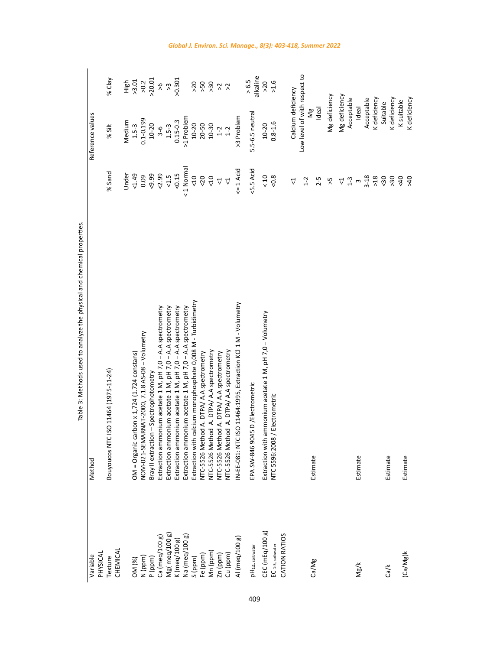| Variable                       | Method                                                       |                 | Reference values             |                                                             |
|--------------------------------|--------------------------------------------------------------|-----------------|------------------------------|-------------------------------------------------------------|
| PHYSICAL                       |                                                              |                 |                              |                                                             |
| Texture                        | Bouyoucos NTC ISO 11464 (1975-11-24)                         | % Sand          | % Silt                       | % Clay                                                      |
| CHEMICAL                       |                                                              | Under           | Medium                       |                                                             |
| OM (%)                         | $OM = Organization \times 1,724 (1.724 \text{ constants})$   | 54.49           | $1.5 - 3$                    | High<br>>3.01                                               |
| N (ppm)                        | NOM-021-SEMARNAT-2000, 7.1.8 AS-08 - Volumetry               | 0.09            | $0.1 - 0.199$                |                                                             |
| P (ppm)                        | Bray II extraction - Spectrophotometry                       | $-9.99$         | $10 - 20$                    | $\frac{2}{20}$ $\frac{2}{20}$ $\frac{2}{20}$ $\frac{2}{20}$ |
| Ca (meq/100 g)                 | Extraction ammonium acetate 1 M, pH 7,0 - A.A spectrometry   | 50.59           | $3 - 6$                      |                                                             |
| Mg(meq/100 g)<br>K (meq/100 g) | Extraction ammonium acetate 1 M, pH 7,0 - A.A spectrometry   | $-1.5$          | $1.5 - 3$                    |                                                             |
|                                | Extraction ammonium acetate 1 M, pH 7,0 - A.A spectrometry   | $5 - 0.15$      | $0.15 - 0.3$                 | 0.301                                                       |
| Na (meq/100 g)                 | Extraction ammonium acetate 1 M, pH 7,0 - A.A spectrometry   | <1 Normal       | >1 Problem                   |                                                             |
| S (ppm)                        | Extraction with calcium monophosphate 0,008 M - Turbidimetry | $rac{10}{5}$    | $10-20$<br>$20-50$           |                                                             |
| Fe (ppm)                       | NTC-5526 Method A. DTPA/ A.A spectrometry                    | 50              |                              | > 50                                                        |
| Mn (ppm)                       | NTC-5526 Method A. DTPA/ A.A spectrometry                    | 50              | $10 - 30$                    | $\frac{1}{2}$ $\frac{1}{2}$ $\frac{1}{2}$                   |
| Zn (ppm)                       | NTC-5526 Method A. DTPA/ A.A spectrometry                    | $\Delta$        | $1-2$                        |                                                             |
| Cu (ppm)                       | NTC-5526 Method A. DTPA/ A.A spectrometry                    | $\vec{\nabla}$  | $1-2$                        |                                                             |
| Al (meq/100 g)                 | N-EE-081: NTC ISO 11464:1995, Extraction KCl 1 M - Volumetry | $\leq 1$ Acid   | >3 Problem                   |                                                             |
| pH <sub>1:1, soil:water</sub>  | EPA SW-846 9045 D /Electrometric                             | <5.5 Acid       | 5.5-6.5 neutral              | alkaline<br>> 6.5                                           |
| CEC (mEq/100 g)                | Extraction with ammonium acetate 1 M, pH 7,0 - Volumetry     | $\frac{10}{5}$  | $10 - 20$                    | >20                                                         |
| EC 1:5, soil water             | NTC 5596:2008 / Electrometric                                | 5.00            | $0.8 - 1.6$                  | 3.5                                                         |
| CATION RATIOS                  |                                                              |                 |                              |                                                             |
|                                |                                                              | 4               | Calcium deficiency           |                                                             |
|                                |                                                              | $1 - 2$         | Low level of with respect to |                                                             |
| Ca/Mg                          | Estimate                                                     |                 | Ng                           |                                                             |
|                                |                                                              | $2 - 5$         | Ideal                        |                                                             |
|                                |                                                              | $\lambda$       | Mg deficiency                |                                                             |
|                                |                                                              | Δ               | Mg deficiency                |                                                             |
|                                |                                                              | $1-3$           | Acceptable                   |                                                             |
| Mg/K                           | Estimate                                                     | $\omega$        | Ideal                        |                                                             |
|                                |                                                              | $3 - 18$        | Acceptable                   |                                                             |
|                                |                                                              | $>18$           | K deficiency                 |                                                             |
| Ca/k                           | Estimate                                                     | 50              | Suitable                     |                                                             |
|                                |                                                              | >30             | K deficiency                 |                                                             |
| (Ca/Mg)k                       | Estimate                                                     | 40              | K suitable                   |                                                             |
|                                |                                                              | 96 <sup>2</sup> | K deficiency                 |                                                             |

Table 3: Methods used to analyze the physical and chemical properties. Table 3: Methods used to analyze the physical and chemical properties.Table 3: Methods used to analyze the physical and chemical properties.

409

# *Global J. Environ. Sci. Manage., 8(3): 403-418, Summer 2022*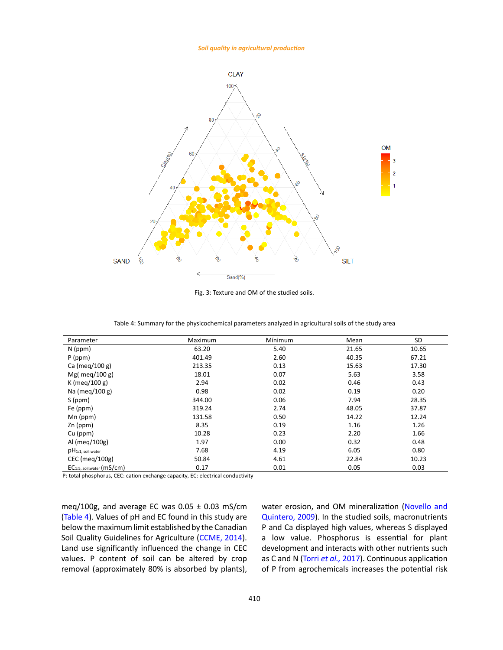#### *Soil quality in agricultural production*



Fig. 3: Texture and OM of the studied soils.

Table 4: Summary for the physicochemical parameters analyzed in agricultural soils of the study area Table 4: Summary for the physicochemical parameters analyzed in agricultural soils of the study area

| Parameter                              | Maximum | Mínimum | Mean  | SD    |
|----------------------------------------|---------|---------|-------|-------|
| N (ppm)                                | 63.20   | 5.40    | 21.65 | 10.65 |
| $P$ (ppm)                              | 401.49  | 2.60    | 40.35 | 67.21 |
| Ca (meg/100 g)                         | 213.35  | 0.13    | 15.63 | 17.30 |
| Mg( meg/100 g)                         | 18.01   | 0.07    | 5.63  | 3.58  |
| K (meg/100 g)                          | 2.94    | 0.02    | 0.46  | 0.43  |
| Na (meg/100 g)                         | 0.98    | 0.02    | 0.19  | 0.20  |
| S (ppm)                                | 344.00  | 0.06    | 7.94  | 28.35 |
| Fe (ppm)                               | 319.24  | 2.74    | 48.05 | 37.87 |
| $Mn$ (ppm)                             | 131.58  | 0.50    | 14.22 | 12.24 |
| Zn (ppm)                               | 8.35    | 0.19    | 1.16  | 1.26  |
| $Cu$ (ppm)                             | 10.28   | 0.23    | 2.20  | 1.66  |
| Al (meg/100g)                          | 1.97    | 0.00    | 0.32  | 0.48  |
| $pH_{1:1, \text{ soil:water}}$         | 7.68    | 4.19    | 6.05  | 0.80  |
| CEC (meg/100g)                         | 50.84   | 4.61    | 22.84 | 10.23 |
| $EC_{1:5, \text{ soil:water}}$ (mS/cm) | 0.17    | 0.01    | 0.05  | 0.03  |

P: total phosphorus, CEC: cation exchange capacity, EC: electrical conductivity

meq/100g, and average EC was  $0.05 \pm 0.03$  mS/cm (Table 4). Values of pH and EC found in this study are below the maximum limit established by the Canadian Soil Quality Guidelines for Agriculture (CCME, 2014). Land use significantly influenced the change in CEC values. P content of soil can be altered by crop removal (approximately 80% is absorbed by plants), water erosion, and OM mineralization (Novello and Quintero, 2009). In the studied soils, macronutrients P and Ca displayed high values, whereas S displayed a low value. Phosphorus is essential for plant development and interacts with other nutrients such as C and N (Torri *et al.,* 2017). Continuous application of P from agrochemicals increases the potential risk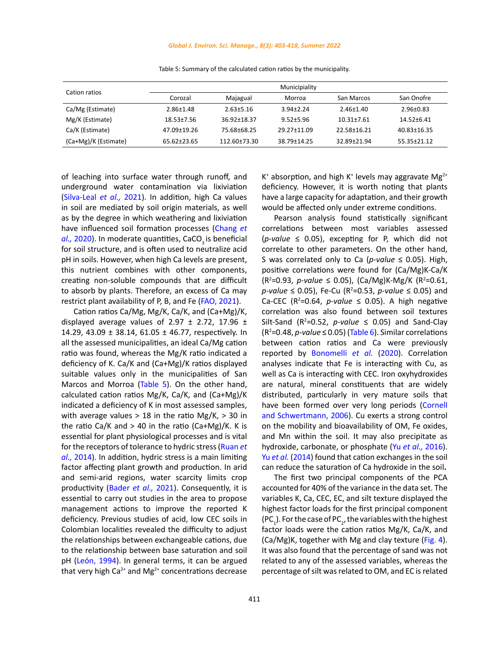| Cation ratios        |                  |                 | Municipiality   |                  |                 |
|----------------------|------------------|-----------------|-----------------|------------------|-----------------|
|                      | Corozal          | Majagual        | Morroa          | San Marcos       | San Onofre      |
| Ca/Mg (Estimate)     | $2.86 \pm 1.48$  | $2.63 \pm 5.16$ | $3.94 \pm 2.24$ | $2.46 \pm 1.40$  | $2.96 \pm 0.83$ |
| Mg/K (Estimate)      | $18.53 \pm 7.56$ | 36.92±18.37     | $9.52 + 5.96$   | $10.31 \pm 7.61$ | 14.52+6.41      |
| Ca/K (Estimate)      | 47.09±19.26      | 75.68±68.25     | 29.27±11.09     | 22.58+16.21      | 40.83±16.35     |
| (Ca+Mg)/K (Estimate) | 65.62±23.65      | 112.60±73.30    | 38.79±14.25     | 32.89±21.94      | 55.35±21.12     |

Table 5: Summary of the calculated cation ratios by the municipality. Table 5: Summary of the calculated cation ratios by the municipality.

of leaching into surface water through runoff, and underground water contamination via lixiviation (Silva-Leal *et al.,* 2021). In addition, high Ca values in soil are mediated by soil origin materials, as well as by the degree in which weathering and lixiviation have influenced soil formation processes (Chang *et al.,* 2020). In moderate quantities, CaCO<sub>3</sub> is beneficial for soil structure, and is often used to neutralize acid pH in soils. However, when high Ca levels are present, this nutrient combines with other components, creating non-soluble compounds that are difficult to absorb by plants. Therefore, an excess of Ca may restrict plant availability of P, B, and Fe (FAO, 2021).

Cation ratios Ca/Mg, Mg/K, Ca/K, and (Ca+Mg)/K, displayed average values of 2.97  $\pm$  2.72, 17.96  $\pm$ 14.29, 43.09 ± 38.14, 61.05 ± 46.77, respectively. In all the assessed municipalities, an ideal Ca/Mg cation ratio was found, whereas the Mg/K ratio indicated a deficiency of K. Ca/K and (Ca+Mg)/K ratios displayed suitable values only in the municipalities of San Marcos and Morroa (Table 5). On the other hand, calculated cation ratios Mg/K, Ca/K, and (Ca+Mg)/K indicated a deficiency of K in most assessed samples, with average values  $> 18$  in the ratio Mg/K,  $> 30$  in the ratio Ca/K and  $> 40$  in the ratio (Ca+Mg)/K. K is essential for plant physiological processes and is vital for the receptors of tolerance to hydric stress (Ruan *et al.,* 2014). In addition, hydric stress is a main limiting factor affecting plant growth and production. In arid and semi-arid regions, water scarcity limits crop productivity (Bader *et al.,* 2021). Consequently, it is essential to carry out studies in the area to propose management actions to improve the reported K deficiency. Previous studies of acid, low CEC soils in Colombian localities revealed the difficulty to adjust the relationships between exchangeable cations, due to the relationship between base saturation and soil pH (León, 1994). In general terms, it can be argued that very high  $Ca^{2+}$  and  $Mg^{2+}$  concentrations decrease

K<sup>+</sup> absorption, and high K<sup>+</sup> levels may aggravate Mg<sup>2+</sup> deficiency. However, it is worth noting that plants have a large capacity for adaptation, and their growth would be affected only under extreme conditions.

Pearson analysis found statistically significant correlations between most variables assessed (*p-value* ≤ 0.05), excepting for P, which did not correlate to other parameters. On the other hand, S was correlated only to Ca (*p-value* ≤ 0.05). High, positive correlations were found for (Ca/Mg)K-Ca/K  $(R^2=0.93, p-value \le 0.05$ ),  $(Ca/Mg)K-Mg/K (R^2=0.61,$ *p-value* ≤ 0.05), Fe-Cu (R<sup>2</sup>=0.53, *p-value* ≤ 0.05) and Ca-CEC ( $R^2$ =0.64, *p-value*  $\leq$  0.05). A high negative correlation was also found between soil textures Silt-Sand ( $R^2$ =0.52, *p-value*  $\leq$  0.05) and Sand-Clay  $(R<sup>2</sup>=0.48, p-value \le 0.05)$  (Table 6). Similar correlations between cation ratios and Ca were previously reported by Bonomelli *et al.* (2020). Correlation analyses indicate that Fe is interacting with Cu, as well as Ca is interacting with CEC. Iron oxyhydroxides are natural, mineral constituents that are widely distributed, particularly in very mature soils that have been formed over very long periods (Cornell and Schwertmann, 2006). Cu exerts a strong control on the mobility and bioavailability of OM, Fe oxides, and Mn within the soil. It may also precipitate as hydroxide, carbonate, or phosphate (Yu *et al.,* 2016). Yu *et al.* (2014) found that cation exchanges in the soil can reduce the saturation of Ca hydroxide in the soil**.**

The first two principal components of the PCA accounted for 40% of the variance in the data set. The variables K, Ca, CEC, EC, and silt texture displayed the highest factor loads for the first principal component (PC<sub>1</sub>). For the case of PC<sub>2</sub>, the variables with the highest factor loads were the cation ratios Mg/K, Ca/K, and (Ca/Mg)K, together with Mg and clay texture (Fig. 4). It was also found that the percentage of sand was not related to any of the assessed variables, whereas the percentage of silt was related to OM, and EC is related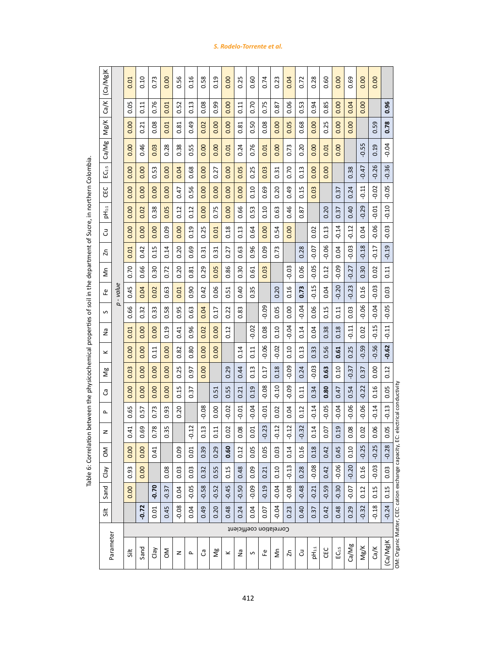| (Ca/Mg)K       |           | 0.01                 | 0.10           | 0.73    | 0.00    | 0.56      | 0.16         | 0.58    | 0.19    | 0.00                | 0.25                    | 0.60     | 0.74      | 0.23    | 0.04                | 0.72              | 0.28                | 0.60    | 0.00             | 0.69         | 0.00     | 0.00    |          |                                                                                |
|----------------|-----------|----------------------|----------------|---------|---------|-----------|--------------|---------|---------|---------------------|-------------------------|----------|-----------|---------|---------------------|-------------------|---------------------|---------|------------------|--------------|----------|---------|----------|--------------------------------------------------------------------------------|
| Ca/K           |           | 50<br>ö              | 0.11           | 0.76    | 0.01    | 52<br>ö   | 0.13         | 0.08    | 0.99    | 0.00                | 0.11                    | 0.70     | 0.75      | 0.87    | 0.06                | 0.53              | 94<br>ö             | 85<br>ö | 0.00             | 0.04         | 0.00     |         | 0.96     |                                                                                |
| Mg/K           |           | 0.00                 | 0.21           | 0.08    | 0.01    | 81<br>ö   | 0.49         | 0.02    | 0.00    | 0.00                | 0.81                    | 0.50     | 0.08      | 0.00    | 0.05                | 0.68              | 0.00                | 0.25    | 0.00             | 0.00         |          | 59<br>ö | 0.78     |                                                                                |
| Ca/Mg          |           | 0.00                 | 0.46           | 0.03    | 0.28    | 0.38      | 0.55         | 0.00    | 0.00    | 0.01                | 0.24                    | 0.76     | 0.01      | 0.00    | 0.73                | 0.20              | 0.00                | 0.01    | 0.00             |              | 55<br>ငှ | 0.19    | $-0.04$  |                                                                                |
| $EC_{1:5}$     |           | 0.00                 | 0.00           | 0.53    | 0.00    | 0.04      | 0.68         | 0.00    | 0.27    | 0.00                | 0.05                    | 0.25     | 0.03      | 0.31    | 0.70                | 0.13              | 0.00                | 0.00    |                  | 0.38         | $-0.47$  | $-0.26$ | $-0.36$  |                                                                                |
| CEC            |           | 0.00                 | 0.00           | 0.00    | 0.00    | 0.47      | 0.56         | 0.00    | 0.00    | 0.00                | 0.00                    | 0.10     | 0.69      | 0.20    | 0.49                | 0.15              | 0.03                |         | 0.37             | 0.24         | $-0.11$  | $-0.02$ | $-0.05$  |                                                                                |
| $pH_{1:1}$     |           | 0.00                 | 0.02           | 0.38    | 0.05    | 0.12      | 0.12         | 0.00    | 0.75    | 0.00                | 0.66                    | 0.53     | 0.10      | 0.63    | 0.46                | 0.87              |                     | 0.20    | 0.37             | 0.40         | $-0.29$  | $-0.01$ | $-0.10$  |                                                                                |
| 3              |           | 0.00                 | 0.00           | 0.00    | 0.09    | 0.00      | 0.19         | 0.25    | 0.01    | 0.18                | 0.13                    | 0.64     | 0.00      | 0.54    | 0.00                |                   | 0.02                | 0.13    | $-0.14$          | $-0.12$      | 0.04     | $-0.06$ | $-0.03$  |                                                                                |
| $\overline{z}$ |           | 0.01                 | 0.42           | 0.15    | 0.14    | 0.20      | 0.69         | 0.31    | 0.31    | 0.27                | 0.63                    | 0.96     | 0.09      | 0.73    |                     | 0.28              | $-0.07$             | $-0.06$ | 0.04             | $-0.03$      | $-0.18$  | $-0.17$ | $-0.19$  |                                                                                |
| δn             |           | 0.70                 | 0.66           | 0.30    | 0.72    | 0.20      | 0.81         | 0.29    | 0.05    | 0.86                | 0.30                    | 5<br>ö   | 0.03      |         | $-0.03$             | 0.06              | $-0.05$             | 0.12    | $-0.09$          | $-0.27$      | 0.30     | 0.02    | 0.11     |                                                                                |
| ₽              | p - value | 0.45                 | 0.04           | 0.02    | 0.63    | 0.01      | 0.90         | 0.42    | 0.06    | 0.51                | 0.40                    | 0.35     |           | 0.20    | 0.16                | 0.73              | $-0.15$             | 0.04    | $-0.20$          | $-0.23$      | 0.16     | $-0.03$ | 0.03     |                                                                                |
| S              |           | 0.66                 | 0.32           | 0.33    | 0.58    | 0.95      | 0.63         | 0.04    | 0.17    | 0.22                | 0.83                    |          | eo.<br>ခု | 0.05    | 0.00                | $-0.04$           | 0.06                | 0.15    | 0.11             | 0.03         | $-0.06$  | $-0.04$ | $-0.05$  |                                                                                |
| δQ             |           | 0.01                 | 0.00           | 0.00    | 0.19    | 0.41      | 0.96         | 0.02    | 0.00    | 0.12                |                         | S<br>ခဲ့ | 0.08      | 0.10    | $-0.04$             | 0.14              | 0.04                | 0.38    | 0.18             | $-0.11$      | 0.02     | $-0.15$ | $-0.11$  |                                                                                |
| ×              |           | 0.00                 | 0.00           | 0.11    | 0.00    | 0.82      | 0.80         | 0.00    | 0.00    |                     | 0.14                    | 0.11     | $-0.06$   | $-0.02$ | 0.10                | 0.13              | 0.33                | 0.56    | 0.61             | 0.25         | $-0.59$  | $-0.56$ | $-0.62$  |                                                                                |
| Ng             |           | 0.03                 | 0.00           | 0.00    | 0.00    | 0.25      | 9.<br>ö      | 0.00    |         | 0.29                | 0.44                    | 0.13     | 0.17      | 0.18    | $-0.09$             | 0.24              | $-0.03$             | 0.63    | 0.10             | $-0.37$      | 0.37     | 0.00    | 0.12     |                                                                                |
| ී              |           | 0.00                 | 0.00           | 0.00    | 0.00    | 0.15      | 0.37         |         | 0.51    | 0.55                | 0.21                    | 0.19     | $-0.08$   | $-0.10$ | $-0.09$             | 0.11              | 0.34                | 0.80    | 0.47             | 0.54         | $-0.22$  | 0.16    | 0.05     |                                                                                |
| Q,             |           | 0.65                 | 0.57           | 0.73    | 0.93    | 0.20      |              | $-0.08$ | 0.00    | $-0.02$             | $-0.01$                 | $-0.04$  | $-0.01$   | 0.02    | 0.04                | 0.12              | $-0.14$             | $-0.05$ | $-0.04$          | $-0.06$      | $-0.06$  | $-0.14$ | $-0.13$  |                                                                                |
| z              |           | 0.41                 | 0.69           | 0.78    | 0.35    |           | $-0.12$      | 0.13    | 0.11    | 0.02                | 0.08                    | 0.01     | $-0.23$   | $-0.12$ | $-0.12$             | $-0.32$           | 0.14                | 0.07    | 0.19             | 0.08         | 0.02     | 0.06    | 0.05     |                                                                                |
| Σ<br>O         |           | 8<br>$\tilde{\circ}$ | 8<br>$\vec{o}$ | 0.41    |         | ֵיםַ<br>ă | 5<br>ō       | 39<br>ö | 29<br>ö | 8<br>$\ddot{\circ}$ | 51<br>ö                 | 5<br>ö   | පි<br>ō   | ლ<br>ō  | $\overline{4}$<br>o | $\mathbf{9}$<br>o | $\overline{8}$<br>ö | 0.42    | 45<br>Ġ          | $\circ$<br>ö | 25<br>Ģ  | 25<br>Ģ | 28<br>Ģ  |                                                                                |
| Clay           |           | 0.93                 | 0.00           |         | 0.08    | 0.03      | 0.03         | 0.32    | 0.55    | 0.15                | 0.48                    | 0.09     | 0.21      | 0.10    | $-0.13$             | 0.28              | $-0.08$             | 0.42    | $-0.06$          | $-0.20$      | 0.16     | $-0.03$ | 0.03     |                                                                                |
| Sand           |           | 0.00                 |                | $-0.70$ | $-0.37$ | 0.04      | $-0.05$      | $-0.58$ | $-0.52$ | $-0.45$             | $-0.50$                 | $-0.09$  | $-0.19$   | $-0.04$ | $-0.08$             | $-0.48$           | $-0.21$             | $-0.59$ | $-0.30$          | $-0.07$      | 0.12     | 0.15    | 0.15     |                                                                                |
| Silt           |           |                      | $-0.72$        | 0.01    | 0.45    | $-0.08$   | 0.04         | 0.49    | 0.20    | 0.48                | 0.24                    | 0.04     | 0.07      | $-0.04$ | 0.23                | 0.40              | 0.37                | 0.42    | 0.48             | 0.29         | $-0.32$  | $-0.18$ | $-0.24$  |                                                                                |
|                |           |                      |                |         |         |           |              |         |         |                     | Correlation coefficient |          |           |         |                     |                   |                     |         |                  |              |          |         |          |                                                                                |
|                | Parameter | $\frac{1}{5}$        | Sand           | Clay    | ŠΣ      | z         | $\mathbf{r}$ | ී       | Ng      | ×                   | ۶g                      | S        | ى         | Σm      | $\overline{z}$      | 5                 | pH <sub>11</sub>    | CEC     | EC <sub>15</sub> | Ca/Mg        | Mg/K     | Ca/K    | (Ca/Mg)K | OM: Organic Matter, CEC: cation exchange capacity, EC: electrical conductivity |

Table 6: Correlation between the physicochemical properties of soil in the department of Sucre, in northern Colombia. Table 6: Correlation between the physicochemical properties of soil in the department of Sucre, in northern Colombia. Table 6: Correlation between the physicochemical properties of soil in the department of Sucre, in northern Colombia.

412

# *S. Rodelo-Torrente et al.*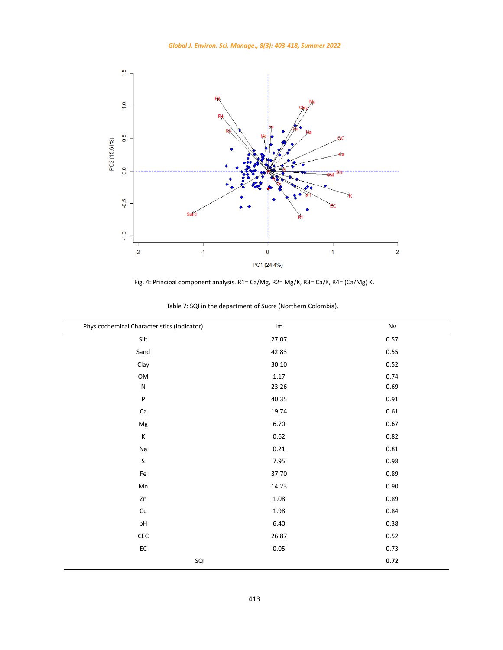



Fig. 4: Principal component analysis. R1= Ca/Mg, R2= Mg/K, R3= Ca/K, R4= (Ca/Mg) K.

| Physicochemical Characteristics (Indicator) | Im    | Nv       |
|---------------------------------------------|-------|----------|
| Silt                                        | 27.07 | 0.57     |
| Sand                                        | 42.83 | 0.55     |
| Clay                                        | 30.10 | 0.52     |
| OM                                          | 1.17  | 0.74     |
| ${\sf N}$                                   | 23.26 | 0.69     |
| P                                           | 40.35 | $0.91\,$ |
| Ca                                          | 19.74 | 0.61     |
| Mg                                          | 6.70  | 0.67     |
| К                                           | 0.62  | 0.82     |
| Na                                          | 0.21  | 0.81     |
| S                                           | 7.95  | 0.98     |
| Fe                                          | 37.70 | 0.89     |
| Mn                                          | 14.23 | $0.90\,$ |
| Zn                                          | 1.08  | 0.89     |
| Cu                                          | 1.98  | 0.84     |
| pH                                          | 6.40  | 0.38     |
| CEC                                         | 26.87 | 0.52     |
| $\mathsf{EC}$                               | 0.05  | 0.73     |
| SQI                                         |       | 0.72     |

Table 7: SQI in the department of Sucre (Northern Colombia). Table 7: SQI in the department of Sucre (Northern Colombia).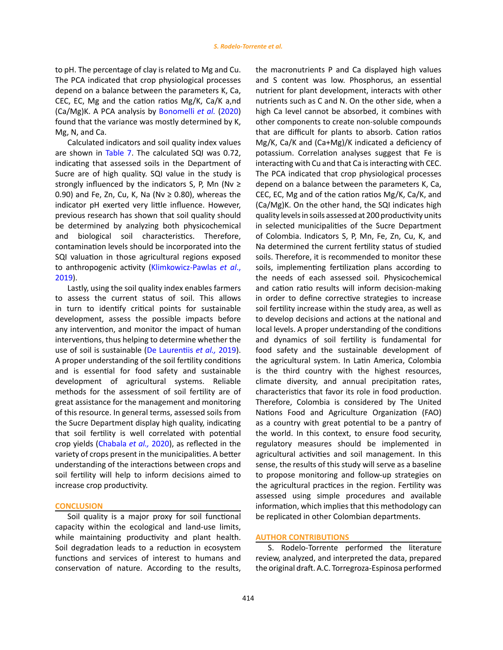to pH. The percentage of clay is related to Mg and Cu. The PCA indicated that crop physiological processes depend on a balance between the parameters K, Ca, CEC, EC, Mg and the cation ratios Mg/K, Ca/K a,nd (Ca/Mg)K. A PCA analysis by Bonomelli *et al.* (2020) found that the variance was mostly determined by K, Mg, N, and Ca.

Calculated indicators and soil quality index values are shown in Table 7. The calculated SQI was 0.72, indicating that assessed soils in the Department of Sucre are of high quality. SQI value in the study is strongly influenced by the indicators S, P, Mn (Nv  $\geq$ 0.90) and Fe, Zn, Cu, K, Na (Nv  $\geq$  0.80), whereas the indicator pH exerted very little influence. However, previous research has shown that soil quality should be determined by analyzing both physicochemical and biological soil characteristics. Therefore, contamination levels should be incorporated into the SQI valuation in those agricultural regions exposed to anthropogenic activity (Klimkowicz-Pawlas *et al*., 2019).

Lastly, using the soil quality index enables farmers to assess the current status of soil. This allows in turn to identify critical points for sustainable development, assess the possible impacts before any intervention, and monitor the impact of human interventions, thus helping to determine whether the use of soil is sustainable (De Laurentiis *et al.,* 2019). A proper understanding of the soil fertility conditions and is essential for food safety and sustainable development of agricultural systems. Reliable methods for the assessment of soil fertility are of great assistance for the management and monitoring of this resource. In general terms, assessed soils from the Sucre Department display high quality, indicating that soil fertility is well correlated with potential crop yields (Chabala *et al.,* 2020), as reflected in the variety of crops present in the municipalities. A better understanding of the interactions between crops and soil fertility will help to inform decisions aimed to increase crop productivity.

#### **CONCLUSION**

Soil quality is a major proxy for soil functional capacity within the ecological and land-use limits, while maintaining productivity and plant health. Soil degradation leads to a reduction in ecosystem functions and services of interest to humans and conservation of nature. According to the results,

the macronutrients P and Ca displayed high values and S content was low. Phosphorus, an essential nutrient for plant development, interacts with other nutrients such as C and N. On the other side, when a high Ca level cannot be absorbed, it combines with other components to create non-soluble compounds that are difficult for plants to absorb. Cation ratios Mg/K, Ca/K and (Ca+Mg)/K indicated a deficiency of potassium. Correlation analyses suggest that Fe is interacting with Cu and that Ca is interacting with CEC. The PCA indicated that crop physiological processes depend on a balance between the parameters K, Ca, CEC, EC, Mg and of the cation ratios Mg/K, Ca/K, and (Ca/Mg)K. On the other hand, the SQI indicates high quality levels in soils assessed at 200 productivity units in selected municipalities of the Sucre Department of Colombia. Indicators S, P, Mn, Fe, Zn, Cu, K, and Na determined the current fertility status of studied soils. Therefore, it is recommended to monitor these soils, implementing fertilization plans according to the needs of each assessed soil. Physicochemical and cation ratio results will inform decision-making in order to define corrective strategies to increase soil fertility increase within the study area, as well as to develop decisions and actions at the national and local levels. A proper understanding of the conditions and dynamics of soil fertility is fundamental for food safety and the sustainable development of the agricultural system. In Latin America, Colombia is the third country with the highest resources, climate diversity, and annual precipitation rates, characteristics that favor its role in food production. Therefore, Colombia is considered by The United Nations Food and Agriculture Organization (FAO) as a country with great potential to be a pantry of the world. In this context, to ensure food security, regulatory measures should be implemented in agricultural activities and soil management. In this sense, the results of this study will serve as a baseline to propose monitoring and follow-up strategies on the agricultural practices in the region. Fertility was assessed using simple procedures and available information, which implies that this methodology can be replicated in other Colombian departments.

# **AUTHOR CONTRIBUTIONS**

S. Rodelo-Torrente performed the literature review, analyzed, and interpreted the data, prepared the original draft. A.C. Torregroza-Espinosa performed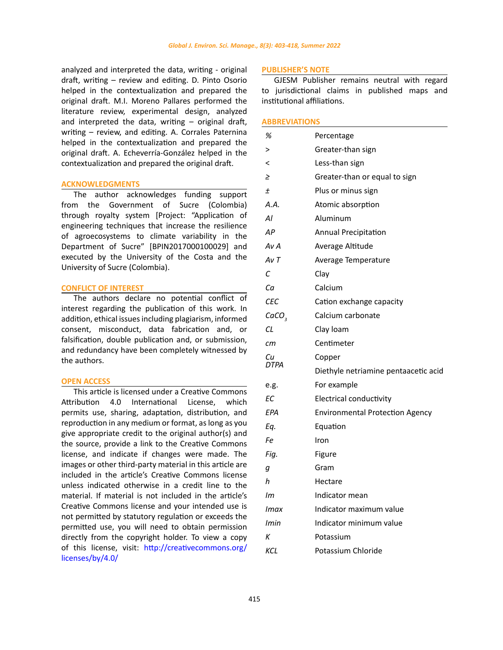analyzed and interpreted the data, writing - original draft, writing – review and editing. D. Pinto Osorio helped in the contextualization and prepared the original draft. M.I. Moreno Pallares performed the literature review, experimental design, analyzed and interpreted the data, writing – original draft, writing – review, and editing. A. Corrales Paternina helped in the contextualization and prepared the original draft. A. Echeverría-González helped in the contextualization and prepared the original draft.

### **ACKNOWLEDGMENTS**

The author acknowledges funding support from the Government of Sucre (Colombia) through royalty system [Project: "Application of engineering techniques that increase the resilience of agroecosystems to climate variability in the Department of Sucre" [BPIN2017000100029] and executed by the University of the Costa and the University of Sucre (Colombia).

### **CONFLICT OF INTEREST**

The authors declare no potential conflict of interest regarding the publication of this work. In addition, ethical issues including plagiarism, informed consent, misconduct, data fabrication and, or falsification, double publication and, or submission, and redundancy have been completely witnessed by the authors.

## **OPEN ACCESS**

This article is licensed under a Creative Commons Attribution 4.0 International License, which permits use, sharing, adaptation, distribution, and reproduction in any medium or format, as long as you give appropriate credit to the original author(s) and the source, provide a link to the Creative Commons license, and indicate if changes were made. The images or other third-party material in this article are included in the article's Creative Commons license unless indicated otherwise in a credit line to the material. If material is not included in the article's Creative Commons license and your intended use is not permitted by statutory regulation or exceeds the permitted use, you will need to obtain permission directly from the copyright holder. To view a copy of this license, visit: [http://creativecommons.org/](http://creativecommons.org/licenses/by/4.0/) [licenses/by/4.0/](http://creativecommons.org/licenses/by/4.0/)

#### **PUBLISHER'S NOTE**

GJESM Publisher remains neutral with regard to jurisdictional claims in published maps and institutional affiliations.

### **ABBREVIATIONS**

| %                 | Percentage                             |
|-------------------|----------------------------------------|
| >                 | Greater-than sign                      |
| <                 | Less-than sign                         |
| ≥                 | Greater-than or equal to sign          |
| $\pm$             | Plus or minus sign                     |
| A.A.              | Atomic absorption                      |
| Al                | Aluminum                               |
| AP                | <b>Annual Precipitation</b>            |
| Av A              | Average Altitude                       |
| AvT               | Average Temperature                    |
| С                 | Clay                                   |
| Cа                | Calcium                                |
| CEC               | Cation exchange capacity               |
| CaCO <sub>3</sub> | Calcium carbonate                      |
| СL                | Clay loam                              |
| cт                | Centimeter                             |
| Сu<br>DTPA        | Copper                                 |
|                   | Diethyle netriamine pentaacetic acid   |
| e.g.              | For example                            |
| ЕC                | <b>Electrical conductivity</b>         |
| EPA               | <b>Environmental Protection Agency</b> |
| Eq.               | Equation                               |
| Fe                | Iron                                   |
| Fig.              | Figure                                 |
| g                 | Gram                                   |
| h                 | Hectare                                |
| Im                | Indicator mean                         |
| Imax              | Indicator maximum value                |
| Imin              | Indicator minimum value                |
| К                 | Potassium                              |
| KCL               | Potassium Chloride                     |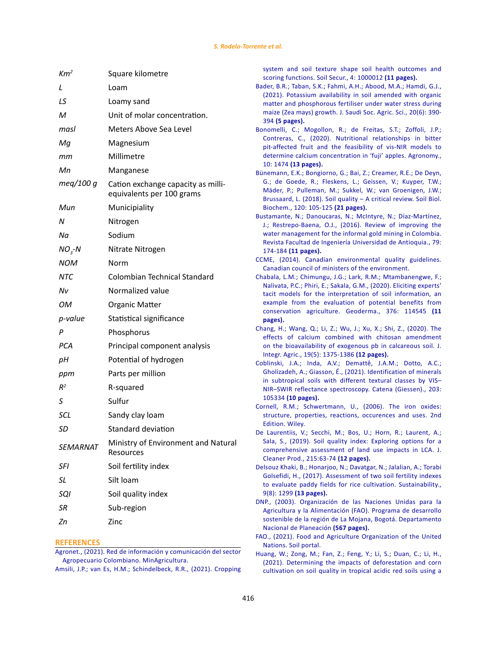| Km <sup>2</sup> | Square kilometre                                                |
|-----------------|-----------------------------------------------------------------|
| L               | Loam                                                            |
| LS              | Loamy sand                                                      |
| м               | Unit of molar concentration.                                    |
| masl            | Meters Above Sea Level                                          |
| Мg              | Magnesium                                                       |
| mт              | Millimetre                                                      |
| Мn              | Manganese                                                       |
| meq/100 g       | Cation exchange capacity as milli-<br>equivalents per 100 grams |
| Mun             | Municipiality                                                   |
| Ν               | Nitrogen                                                        |
| Νa              | Sodium                                                          |
| $NO3-N$         | Nitrate Nitrogen                                                |
| NOM             | Norm                                                            |
| NTC             | Colombian Technical Standard                                    |
| Nν              | Normalized value                                                |
| OМ              | Organic Matter                                                  |
| p-value         | Statistical significance                                        |
| Р               | Phosphorus                                                      |
| <b>PCA</b>      | Principal component analysis                                    |
| pH              | Potential of hydrogen                                           |
| ppm             | Parts per million                                               |
| $R^2$           | R-squared                                                       |
| S               | Sulfur                                                          |
| SCL             | Sandy clay loam                                                 |
| SD              | Standard deviation                                              |
| <b>SEMARNAT</b> | Ministry of Environment and Natural<br>Resources                |
| SFI             | Soil fertility index                                            |
| SL              | Silt loam                                                       |
| <b>SQI</b>      | Soil quality index                                              |
| SR              | Sub-region                                                      |
| Zn              | Zinc                                                            |

## **REFERENCES**

[Amsili, J.P.; van Es, H.M.; Schindelbeck, R.R., \(2021\). Cropping](https://www.sciencedirect.com/science/article/pii/S2667006221000095) 

[system and soil texture shape soil health outcomes and](https://www.sciencedirect.com/science/article/pii/S2667006221000095) scoring functions. [Soil Secur., 4: 1000012](https://www.sciencedirect.com/science/article/pii/S2667006221000095) **(11 pages).**

- [Bader, B.R.; Taban, S.K.; Fahmi, A.H.; Abood, M.A.; Hamdi, G.J.,](https://doaj.org/article/d3ca6d25209e4e53bc7118214887a043) [\(2021\). Potassium availability in soil amended with organic](https://doaj.org/article/d3ca6d25209e4e53bc7118214887a043) [matter and phosphorous fertiliser under water stress during](https://doaj.org/article/d3ca6d25209e4e53bc7118214887a043) maize (Zea mays) growth. [J. Saudi Soc. Agric. Sci., 20\(6\): 390-](https://doaj.org/article/d3ca6d25209e4e53bc7118214887a043) 394 **[\(5 pages\).](https://doaj.org/article/d3ca6d25209e4e53bc7118214887a043)**
- [Bonomelli, C.; Mogollon, R.; de Freitas, S.T.; Zoffoli, J.P.;](https://www.mdpi.com/2073-4395/10/10/1476) [Contreras, C., \(2020\). Nutritional relationships in bitter](https://www.mdpi.com/2073-4395/10/10/1476) [pit-affected fruit and the feasibility of vis-NIR models to](https://www.mdpi.com/2073-4395/10/10/1476) [determine calcium concentration in 'fuji' apples.](https://www.mdpi.com/2073-4395/10/10/1476) Agronomy., 10: 1474 **[\(13 pages\).](https://www.mdpi.com/2073-4395/10/10/1476)**
- [Bünemann, E.K.; Bongiorno, G.; Bai, Z.; Creamer, R.E.; De Deyn,](https://www.sciencedirect.com/science/article/pii/S0038071718300294?via%3Dihub) [G.; de Goede, R.; Fleskens, L.; Geissen, V.; Kuyper, T.W.;](https://www.sciencedirect.com/science/article/pii/S0038071718300294?via%3Dihub) [Mäder, P.; Pulleman, M.; Sukkel, W.; van Groenigen, J.W.;](https://www.sciencedirect.com/science/article/pii/S0038071718300294?via%3Dihub) [Brussaard, L. \(2018\). Soil quality – A critical review.](https://www.sciencedirect.com/science/article/pii/S0038071718300294?via%3Dihub) Soil Biol. Biochem., [120: 105-125](https://www.sciencedirect.com/science/article/pii/S0038071718300294?via%3Dihub) **(21 pages).**
- [Bustamante, N.; Danoucaras, N.; McIntyre, N.; Díaz-Martínez,](https://revistas.udea.edu.co/index.php/ingenieria/article/view/22826) [J.; Restrepo-Baena, O.J., \(2016\). Review of improving the](https://revistas.udea.edu.co/index.php/ingenieria/article/view/22826) [water management for the informal gold mining in Colombia.](https://revistas.udea.edu.co/index.php/ingenieria/article/view/22826) [Revista Facultad de Ingeniería Universidad de Antioquia., 79:](https://revistas.udea.edu.co/index.php/ingenieria/article/view/22826) 174-184 **[\(11 pages\).](https://revistas.udea.edu.co/index.php/ingenieria/article/view/22826)**
- [CCME, \(2014\). Canadian environmental quality guidelines.](https://ccme.ca/en/current-activities/canadian-environmental-quality-guidelines) [Canadian council of ministers of the environment.](https://ccme.ca/en/current-activities/canadian-environmental-quality-guidelines)
- [Chabala, L.M.; Chimungu, J.G.; Lark, R.M.; Mtambanengwe, F.;](https://www.sciencedirect.com/science/article/pii/S001670611933006X) [Nalivata, P.C.; Phiri, E.; Sakala, G.M., \(2020\). Eliciting experts'](https://www.sciencedirect.com/science/article/pii/S001670611933006X) [tacit models for the interpretation of soil information, an](https://www.sciencedirect.com/science/article/pii/S001670611933006X) [example from the evaluation of potential benefits from](https://www.sciencedirect.com/science/article/pii/S001670611933006X) [conservation agriculture. Geoderma., 376: 114545](https://www.sciencedirect.com/science/article/pii/S001670611933006X) **(11 [pages\).](https://www.sciencedirect.com/science/article/pii/S001670611933006X)**
- [Chang, H.; Wang, Q.; Li, Z.; Wu, J.; Xu, X.; Shi, Z., \(2020\). The](https://www.sciencedirect.com/science/article/pii/S2095311919628613?via%3Dihub) [effects of calcium combined with chitosan amendment](https://www.sciencedirect.com/science/article/pii/S2095311919628613?via%3Dihub) [on the bioavailability of exogenous pb in calcareous soil. J.](https://www.sciencedirect.com/science/article/pii/S2095311919628613?via%3Dihub) [Integr. Agric., 19\(5\): 1375-1386](https://www.sciencedirect.com/science/article/pii/S2095311919628613?via%3Dihub) **(12 pages).**
- [Coblinski, J.A.; Inda, A.V.; Demattê, J.A.M.; Dotto, A.C.;](https://www.sciencedirect.com/science/article/abs/pii/S0341816221001934?via%3Dihub) [Gholizadeh, A.; Giasson, É., \(2021\). Identification of minerals](https://www.sciencedirect.com/science/article/abs/pii/S0341816221001934?via%3Dihub) [in subtropical soils with different textural classes by VIS–](https://www.sciencedirect.com/science/article/abs/pii/S0341816221001934?via%3Dihub) [NIR–SWIR reflectance spectroscopy. Catena \(Giessen\)., 203:](https://www.sciencedirect.com/science/article/abs/pii/S0341816221001934?via%3Dihub) 105334 **[\(10 pages\).](https://www.sciencedirect.com/science/article/abs/pii/S0341816221001934?via%3Dihub)**
- Cornell, R.M.; Schwertmann, U., (2006). The iron oxides: structure, properties, reactions, occurences and uses. 2nd Edition. Wiley.
- [De Laurentiis, V.; Secchi, M.; Bos, U.; Horn, R.; Laurent, A.;](https://www.sciencedirect.com/science/article/pii/S095965261833960X?via%3Dihub) [Sala, S., \(2019\). Soil quality index: Exploring options for a](https://www.sciencedirect.com/science/article/pii/S095965261833960X?via%3Dihub) [comprehensive assessment of land use impacts in LCA. J.](https://www.sciencedirect.com/science/article/pii/S095965261833960X?via%3Dihub) [Cleaner Prod., 215:63-74](https://www.sciencedirect.com/science/article/pii/S095965261833960X?via%3Dihub) **(12 pages).**
- [Delsouz Khaki, B.; Honarjoo, N.; Davatgar, N.; Jalalian, A.; Torabi](https://www.mdpi.com/2071-1050/9/8/1299) [Golsefidi, H., \(2017\). Assessment of two soil fertility indexes](https://www.mdpi.com/2071-1050/9/8/1299) [to evaluate paddy fields for rice cultivation. Sustainability.,](https://www.mdpi.com/2071-1050/9/8/1299) 9(8): 1299 **[\(13 pages\).](https://www.mdpi.com/2071-1050/9/8/1299)**
- [DNP., \(2003\). Organización de las Naciones Unidas para la](https://colaboracion.dnp.gov.co/CDT/Desarrollo Territorial/00-Mojana.pdf) [Agricultura y la Alimentación \(FAO\). Programa de desarrollo](https://colaboracion.dnp.gov.co/CDT/Desarrollo Territorial/00-Mojana.pdf) [sostenible de la región de La Mojana, Bogotá. Departamento](https://colaboracion.dnp.gov.co/CDT/Desarrollo Territorial/00-Mojana.pdf) [Nacional de Planeación](https://colaboracion.dnp.gov.co/CDT/Desarrollo Territorial/00-Mojana.pdf) **(567 pages).**
- [FAO., \(2021\). Food and Agriculture Organization of the United](https://www.fao.org/soils-portal/soil-survey/soil-classification/numerical-systems/chemical-properties/zh/) [Nations. Soil portal.](https://www.fao.org/soils-portal/soil-survey/soil-classification/numerical-systems/chemical-properties/zh/)
- [Huang, W.; Zong, M.; Fan, Z.; Feng, Y.; Li, S.; Duan, C.; Li, H.,](https://www.sciencedirect.com/science/article/pii/S1470160X21002454) [\(2021\). Determining the impacts of deforestation and corn](https://www.sciencedirect.com/science/article/pii/S1470160X21002454) [cultivation on soil quality in tropical acidic red soils using a](https://www.sciencedirect.com/science/article/pii/S1470160X21002454)

[Agronet., \(2021\). Red de información y comunicación del sector](https://www.agronet.gov.co/estadistica/Paginas/home.aspx)  [Agropecuario Colombiano. MinAgricultura.](https://www.agronet.gov.co/estadistica/Paginas/home.aspx)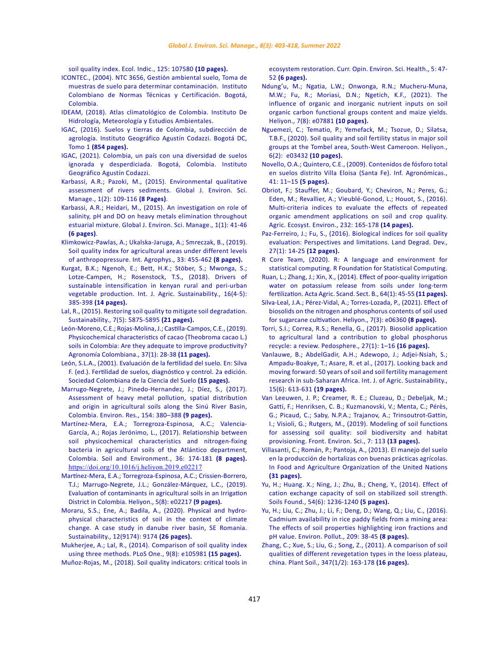[soil quality index. Ecol. Indic., 125: 107580](https://www.sciencedirect.com/science/article/pii/S1470160X21002454) **(10 pages).**

- [ICONTEC., \(2004\). NTC 3656, Gestión ambiental suelo, Toma de](https://tienda.icontec.org/gp-gestion-ambiental-suelo-toma-de-muestras-de-suelo-para-determinar-contaminacion-ntc3656-1994.html)  [muestras de suelo para determinar contaminación. Instituto](https://tienda.icontec.org/gp-gestion-ambiental-suelo-toma-de-muestras-de-suelo-para-determinar-contaminacion-ntc3656-1994.html)  [Colombiano de Normas Técnicas y Certificación. Bogotá,](https://tienda.icontec.org/gp-gestion-ambiental-suelo-toma-de-muestras-de-suelo-para-determinar-contaminacion-ntc3656-1994.html)  [Colombia.](https://tienda.icontec.org/gp-gestion-ambiental-suelo-toma-de-muestras-de-suelo-para-determinar-contaminacion-ntc3656-1994.html)
- [IDEAM, \(2018\). Atlas climatológico de Colombia. Instituto De](http://atlas.ideam.gov.co/visorAtlasClimatologico.html)  [Hidrología, Meteorología y Estudios Ambientales.](http://atlas.ideam.gov.co/visorAtlasClimatologico.html)
- [IGAC, \(2016\). Suelos y tierras de Colombia, subdirección de](https://tiendavirtual.igac.gov.co/es/content/libro-suelos-y-tierras-de-colombia-tomo-1-y-2)  [agrología. Instituto Geográfico Agustín Codazzi. Bogotá DC,](https://tiendavirtual.igac.gov.co/es/content/libro-suelos-y-tierras-de-colombia-tomo-1-y-2)  Tomo 1 **[\(854 pages\).](https://tiendavirtual.igac.gov.co/es/content/libro-suelos-y-tierras-de-colombia-tomo-1-y-2)**
- [IGAC, \(2021\). Colombia, un país con una diversidad de suelos](https://www.gjesm.net/article_9543.html)  [ignorada y desperdiciada. Bogotá, Colombia. Instituto](https://www.gjesm.net/article_9543.html)  [Geográfico Agustín Codazzi.](https://www.gjesm.net/article_9543.html)
- [Karbassi, A.R.; Pazoki, M., \(2015\). Environmental qualitative](https://www.gjesm.net/article_9543.html)  [assessment of rivers sediments. Global J. Environ. Sci.](https://www.gjesm.net/article_9543.html)  [Manage., 1\(2\): 109-116](https://www.gjesm.net/article_9543.html) **(8 Pages)**.
- [Karbassi, A.R.; Heidari, M., \(2015\). An investigation on role of](https://www.gjesm.net/article_9543.html)  [salinity, pH and DO on heavy metals elimination throughout](https://www.gjesm.net/article_9543.html)  [estuarial mixture. Global J. Environ. Sci. Manage., 1\(1\): 41-46](https://www.gjesm.net/article_9543.html)  **[\(6 pages\)](https://www.gjesm.net/article_9543.html)**.
- [Klimkowicz-Pawlas, A.; Ukalska-Jaruga, A.; Smreczak, B., \(2019\).](http://www.international-agrophysics.org/Soil-quality-index-for-agricultural-areas-under-different-levels-of-anthropopressure,113349,0,2.html)  [Soil quality index for agricultural areas under different levels](http://www.international-agrophysics.org/Soil-quality-index-for-agricultural-areas-under-different-levels-of-anthropopressure,113349,0,2.html)  [of anthropopressure. Int. Agrophys., 33: 455-462](http://www.international-agrophysics.org/Soil-quality-index-for-agricultural-areas-under-different-levels-of-anthropopressure,113349,0,2.html) **(8 pages).**
- [Kurgat, B.K.; Ngenoh, E.; Bett, H.K.; Stöber, S.; Mwonga, S.;](https://www.tandfonline.com/doi/full/10.1080/14735903.2018.1499842)  [Lotze-Campen, H.; Rosenstock, T.S., \(2018\). Drivers of](https://www.tandfonline.com/doi/full/10.1080/14735903.2018.1499842)  [sustainable intensification in kenyan rural and peri-urban](https://www.tandfonline.com/doi/full/10.1080/14735903.2018.1499842)  [vegetable production. Int. J. Agric. Sustainability., 16\(4-5\):](https://www.tandfonline.com/doi/full/10.1080/14735903.2018.1499842)  385-398 **[\(14 pages\).](https://www.tandfonline.com/doi/full/10.1080/14735903.2018.1499842)**
- [Lal, R., \(2015\). Restoring soil quality to mitigate soil degradation.](https://www.mdpi.com/2071-1050/7/5/5875)  [Sustainability., 7\(5\): 5875-5895](https://www.mdpi.com/2071-1050/7/5/5875) **(21 pages).**
- [León-Moreno, C.E.; Rojas-Molina, J.; Castilla-Campos, C.E., \(2019\).](https://revistas.unal.edu.co/index.php/agrocol/article/view/70545)  [Physicochemical characteristics of cacao \(Theobroma cacao L.\)](https://revistas.unal.edu.co/index.php/agrocol/article/view/70545)  [soils in Colombia: Are they adequate to improve productivity?](https://revistas.unal.edu.co/index.php/agrocol/article/view/70545)  [Agronomía Colombiana., 37\(1\): 28-38](https://revistas.unal.edu.co/index.php/agrocol/article/view/70545) **(11 pages).**
- [León, S.L.A., \(2001\). Evaluación de la fertilidad del suelo. En: Silva](https://repositorio.unal.edu.co/bitstream/handle/unal/8983/16077856.2012.pdf?sequence=1&isAllowed=y)  [F. \(ed.\). Fertilidad de suelos, diagnóstico y control. 2a edición.](https://repositorio.unal.edu.co/bitstream/handle/unal/8983/16077856.2012.pdf?sequence=1&isAllowed=y)  [Sociedad Colombiana de la Ciencia del Suelo](https://repositorio.unal.edu.co/bitstream/handle/unal/8983/16077856.2012.pdf?sequence=1&isAllowed=y) **(15 pages).**
- [Marrugo-Negrete, J.; Pinedo-Hernandez, J.; Díez, S., \(2017\).](https://www.sciencedirect.com/science/article/abs/pii/S0013935116309562)  [Assessment of heavy metal pollution, spatial distribution](https://www.sciencedirect.com/science/article/abs/pii/S0013935116309562)  [and origin in agricultural soils along the Sinú River Basin,](https://www.sciencedirect.com/science/article/abs/pii/S0013935116309562)  [Colombia. Environ. Res., 154: 380–388](https://www.sciencedirect.com/science/article/abs/pii/S0013935116309562) **(9 pages).**
- [Martínez-Mera, E.A.; Torregroza-Espinosa, A.C.; Valencia-](https://www.researchgate.net/publication/321387360_Relationship_between_soil_physicochemical_characteristics_and_nitrogen-fixing_bacteria_in_agricultural_soils_of_the_Atlantico_department_Colombia)[García, A.; Rojas Jerónimo, L., \(2017\). Relationship between](https://www.researchgate.net/publication/321387360_Relationship_between_soil_physicochemical_characteristics_and_nitrogen-fixing_bacteria_in_agricultural_soils_of_the_Atlantico_department_Colombia)  [soil physicochemical characteristics and nitrogen-fixing](https://www.researchgate.net/publication/321387360_Relationship_between_soil_physicochemical_characteristics_and_nitrogen-fixing_bacteria_in_agricultural_soils_of_the_Atlantico_department_Colombia)  [bacteria in agricultural soils of the Atlántico department,](https://www.researchgate.net/publication/321387360_Relationship_between_soil_physicochemical_characteristics_and_nitrogen-fixing_bacteria_in_agricultural_soils_of_the_Atlantico_department_Colombia)  [Colombia. Soil and Environment., 36: 174-181](https://www.researchgate.net/publication/321387360_Relationship_between_soil_physicochemical_characteristics_and_nitrogen-fixing_bacteria_in_agricultural_soils_of_the_Atlantico_department_Colombia) **(8 pages).** <https://doi.org/10.1016/j.heliyon.2019.e02217>
- [Martínez-Mera, E.A.; Torregroza-Espinosa, A.C.; Crissien-Borrero,](https://www.cell.com/heliyon/fulltext/S2405-8440(19)35877-3?_returnURL=https%3A%2F%2Flinkinghub.elsevier.com%2Fretrieve%2Fpii%2FS2405844019358773%3Fshowall%3Dtrue)  [T.J.; Marrugo-Negrete, J.L.; González-Márquez, L.C., \(2019\).](https://www.cell.com/heliyon/fulltext/S2405-8440(19)35877-3?_returnURL=https%3A%2F%2Flinkinghub.elsevier.com%2Fretrieve%2Fpii%2FS2405844019358773%3Fshowall%3Dtrue)  [Evaluation of contaminants in agricultural soils in an Irrigation](https://www.cell.com/heliyon/fulltext/S2405-8440(19)35877-3?_returnURL=https%3A%2F%2Flinkinghub.elsevier.com%2Fretrieve%2Fpii%2FS2405844019358773%3Fshowall%3Dtrue)  [District in Colombia. Heliyon., 5\(8\): e02217](https://www.cell.com/heliyon/fulltext/S2405-8440(19)35877-3?_returnURL=https%3A%2F%2Flinkinghub.elsevier.com%2Fretrieve%2Fpii%2FS2405844019358773%3Fshowall%3Dtrue) **(9 pages).**
- [Moraru, S.S.; Ene, A.; Badila, A., \(2020\). Physical and hydro](https://www.mdpi.com/2071-1050/12/21/9174)[physical characteristics of soil in the context of climate](https://www.mdpi.com/2071-1050/12/21/9174)  [change. A case study in danube river basin, SE Romania.](https://www.mdpi.com/2071-1050/12/21/9174)  [Sustainability., 12\(9174\): 9174](https://www.mdpi.com/2071-1050/12/21/9174) **(26 pages).**
- [Mukherjee, A.; Lal, R., \(2014\). Comparison of soil quality index](https://journals.plos.org/plosone/article?id=10.1371/journal.pone.0105981)  [using three methods. PLoS One., 9\(8\): e105981](https://journals.plos.org/plosone/article?id=10.1371/journal.pone.0105981) **(15 pages).** [Muñoz-Rojas, M., \(2018\). Soil quality indicators: critical tools in](https://www.sciencedirect.com/science/article/abs/pii/S246858441730034X?via%3Dihub)

[ecosystem restoration. Curr. Opin. Environ. Sci. Health., 5: 47-](https://www.sciencedirect.com/science/article/abs/pii/S246858441730034X?via%3Dihub) 52 **[\(6 pages\).](https://www.sciencedirect.com/science/article/abs/pii/S246858441730034X?via%3Dihub)**

- [Ndung'u, M.; Ngatia, L.W.; Onwonga, R.N.; Mucheru-Muna,](https://www.cell.com/heliyon/fulltext/S2405-8440(21)01984-8?_returnURL=https%3A%2F%2Flinkinghub.elsevier.com%2Fretrieve%2Fpii%2FS2405844021019848%3Fshowall%3Dtrue) [M.W.; Fu, R.; Moriasi, D.N.; Ngetich, K.F., \(2021\). The](https://www.cell.com/heliyon/fulltext/S2405-8440(21)01984-8?_returnURL=https%3A%2F%2Flinkinghub.elsevier.com%2Fretrieve%2Fpii%2FS2405844021019848%3Fshowall%3Dtrue) [influence of organic and inorganic nutrient inputs on soil](https://www.cell.com/heliyon/fulltext/S2405-8440(21)01984-8?_returnURL=https%3A%2F%2Flinkinghub.elsevier.com%2Fretrieve%2Fpii%2FS2405844021019848%3Fshowall%3Dtrue) [organic carbon functional groups content and maize yields.](https://www.cell.com/heliyon/fulltext/S2405-8440(21)01984-8?_returnURL=https%3A%2F%2Flinkinghub.elsevier.com%2Fretrieve%2Fpii%2FS2405844021019848%3Fshowall%3Dtrue) [Heliyon., 7\(8\): e07881](https://www.cell.com/heliyon/fulltext/S2405-8440(21)01984-8?_returnURL=https%3A%2F%2Flinkinghub.elsevier.com%2Fretrieve%2Fpii%2FS2405844021019848%3Fshowall%3Dtrue) **(10 pages).**
- [Nguemezi, C.; Tematio, P.; Yemefack, M.; Tsozue, D.; Silatsa,](https://www.cell.com/heliyon/fulltext/S2405-8440(20)30277-2?_returnURL=https%3A%2F%2Flinkinghub.elsevier.com%2Fretrieve%2Fpii%2FS2405844020302772%3Fshowall%3Dtrue) [T.B.F., \(2020\). Soil quality and soil fertility status in major soil](https://www.cell.com/heliyon/fulltext/S2405-8440(20)30277-2?_returnURL=https%3A%2F%2Flinkinghub.elsevier.com%2Fretrieve%2Fpii%2FS2405844020302772%3Fshowall%3Dtrue) [groups at the Tombel area, South-West Cameroon. Heliyon.,](https://www.cell.com/heliyon/fulltext/S2405-8440(20)30277-2?_returnURL=https%3A%2F%2Flinkinghub.elsevier.com%2Fretrieve%2Fpii%2FS2405844020302772%3Fshowall%3Dtrue) [6\(2\): e03432](https://www.cell.com/heliyon/fulltext/S2405-8440(20)30277-2?_returnURL=https%3A%2F%2Flinkinghub.elsevier.com%2Fretrieve%2Fpii%2FS2405844020302772%3Fshowall%3Dtrue) **(10 pages).**
- [Novello, O.A.; Quintero, C.E., \(2009\). Contenidos de fósforo total](http://www.ipni.net/publication/ia-lacs.nsf/0/A2E9549EFF6442188525799500760516/$FILE/3.pdf) [en suelos distrito Villa Eloisa \(Santa Fe\). Inf. Agronómicas.,](http://www.ipni.net/publication/ia-lacs.nsf/0/A2E9549EFF6442188525799500760516/$FILE/3.pdf) [41: 11–15](http://www.ipni.net/publication/ia-lacs.nsf/0/A2E9549EFF6442188525799500760516/$FILE/3.pdf) **(5 pages).**
- [Obriot, F.; Stauffer, M.; Goubard, Y.; Cheviron, N.; Peres, G.;](https://www.sciencedirect.com/science/article/abs/pii/S0167880916303991?via%3Dihub) [Eden, M.; Revallier, A.; Vieublé-Gonod, L.; Houot, S., \(2016\).](https://www.sciencedirect.com/science/article/abs/pii/S0167880916303991?via%3Dihub) [Multi-criteria indices to evaluate the effects of repeated](https://www.sciencedirect.com/science/article/abs/pii/S0167880916303991?via%3Dihub) [organic amendment applications on soil and crop quality.](https://www.sciencedirect.com/science/article/abs/pii/S0167880916303991?via%3Dihub) [Agric. Ecosyst. Environ., 232: 165-178](https://www.sciencedirect.com/science/article/abs/pii/S0167880916303991?via%3Dihub) **(14 pages).**
- [Paz-Ferreiro, J.; Fu, S., \(2016\). Biological indices for soil quality](https://onlinelibrary.wiley.com/doi/10.1002/ldr.2262) [evaluation: Perspectives and limitations. Land Degrad. Dev.,](https://onlinelibrary.wiley.com/doi/10.1002/ldr.2262) [27\(1\): 14-25](https://onlinelibrary.wiley.com/doi/10.1002/ldr.2262) **(12 pages).**
- [R Core Team, \(2020\). R: A language and environment for](https://www.r-project.org/) [statistical computing. R Foundation for Statistical Computing.](https://www.r-project.org/)
- [Ruan, L.; Zhang, J.; Xin, X., \(2014\). Effect of poor-quality irrigation](https://www.tandfonline.com/doi/abs/10.1080/09064710.2014.884158) [water on potassium release from soils under long-term](https://www.tandfonline.com/doi/abs/10.1080/09064710.2014.884158) [fertilization. Acta Agric. Scand. Sect. B., 64\(1\): 45-55](https://www.tandfonline.com/doi/abs/10.1080/09064710.2014.884158) **(11 pages).**
- [Silva-Leal, J.A.; Pérez-Vidal, A.; Torres-Lozada, P., \(2021\). Effect of](https://www.cell.com/heliyon/fulltext/S2405-8440(21)00465-5?_returnURL=https%3A%2F%2Flinkinghub.elsevier.com%2Fretrieve%2Fpii%2FS2405844021004655%3Fshowall%3Dtrue) [biosolids on the nitrogen and phosphorus contents of soil used](https://www.cell.com/heliyon/fulltext/S2405-8440(21)00465-5?_returnURL=https%3A%2F%2Flinkinghub.elsevier.com%2Fretrieve%2Fpii%2FS2405844021004655%3Fshowall%3Dtrue) [for sugarcane cultivation. Heliyon., 7\(3\): e06360](https://www.cell.com/heliyon/fulltext/S2405-8440(21)00465-5?_returnURL=https%3A%2F%2Flinkinghub.elsevier.com%2Fretrieve%2Fpii%2FS2405844021004655%3Fshowall%3Dtrue) **(8 pages).**
- [Torri, S.I.; Correa, R.S.; Renella, G., \(2017\). Biosolid application](https://www.sciencedirect.com/science/article/abs/pii/S1002016015601060?via%3Dihub) [to agricultural land a contribution to global phosphorus](https://www.sciencedirect.com/science/article/abs/pii/S1002016015601060?via%3Dihub) [recycle: a review. Pedosphere., 27\(1\): 1–16](https://www.sciencedirect.com/science/article/abs/pii/S1002016015601060?via%3Dihub) **(16 pages).**
- [Vanlauwe, B.; AbdelGadir, A.H.; Adewopo, J.; Adjei-Nsiah, S.;](https://www.tandfonline.com/doi/full/10.1080/14735903.2017.1393038) [Ampadu-Boakye, T.; Asare, R. et al., \(2017\). Looking back and](https://www.tandfonline.com/doi/full/10.1080/14735903.2017.1393038) [moving forward: 50 years of soil and soil fertility management](https://www.tandfonline.com/doi/full/10.1080/14735903.2017.1393038) [research in sub-Saharan Africa. Int. J. of Agric. Sustainability.,](https://www.tandfonline.com/doi/full/10.1080/14735903.2017.1393038) [15\(6\): 613-631](https://www.tandfonline.com/doi/full/10.1080/14735903.2017.1393038) **(19 pages).**
- [Van Leeuwen, J. P.; Creamer, R. E.; Cluzeau, D.; Debeljak, M.;](https://www.frontiersin.org/articles/10.3389/fenvs.2019.00113/full) [Gatti, F.; Henriksen, C. B.; Kuzmanovski, V.; Menta, C.; Pérès,](https://www.frontiersin.org/articles/10.3389/fenvs.2019.00113/full) [G.; Picaud, C.; Saby, N.P.A.; Trajanov, A.; Trinsoutrot-Gattin,](https://www.frontiersin.org/articles/10.3389/fenvs.2019.00113/full) [I.; Visioli, G.; Rutgers, M., \(2019\). Modeling of soil functions](https://www.frontiersin.org/articles/10.3389/fenvs.2019.00113/full) [for assessing soil quality: soil biodiversity and habitat](https://www.frontiersin.org/articles/10.3389/fenvs.2019.00113/full) [provisioning. Front. Environ. Sci., 7: 113](https://www.frontiersin.org/articles/10.3389/fenvs.2019.00113/full) **(13 pages).**
- [Villasanti, C.; Román, P.; Pantoja, A., \(2013\). El manejo del suelo](https://www.fao.org/3/i3361s/i3361s.pdf) [en la producción de hortalizas con buenas prácticas agrícolas.](https://www.fao.org/3/i3361s/i3361s.pdf) [In Food and Agriculture Organization of the United Nations](https://www.fao.org/3/i3361s/i3361s.pdf) **[\(31 pages\).](https://www.fao.org/3/i3361s/i3361s.pdf)**
- [Yu, H.; Huang. X.; Ning, J.; Zhu, B.; Cheng, Y., \(2014\). Effect of](https://www.sciencedirect.com/science/article/pii/S0038080614001346?via%3Dihub) [cation exchange capacity of soil on stabilized soil strength.](https://www.sciencedirect.com/science/article/pii/S0038080614001346?via%3Dihub) [Soils Found., 54\(6\): 1236-1240](https://www.sciencedirect.com/science/article/pii/S0038080614001346?via%3Dihub) **(5 pages).**
- [Yu, H.; Liu, C.; Zhu, J.; Li, F.; Deng, D.; Wang, Q.; Liu, C., \(2016\).](https://www.sciencedirect.com/science/article/abs/pii/S0269749115301810?via%3Dihub) [Cadmium availability in rice paddy fields from a mining area:](https://www.sciencedirect.com/science/article/abs/pii/S0269749115301810?via%3Dihub) [The effects of soil properties highlighting iron fractions and](https://www.sciencedirect.com/science/article/abs/pii/S0269749115301810?via%3Dihub) [pH value. Environ. Pollut., 209: 38-45](https://www.sciencedirect.com/science/article/abs/pii/S0269749115301810?via%3Dihub) **(8 pages).**
- Zhang, C.; Xue, S.; Liu, G.; Song, Z., (2011). A comparison of soil qualities of different revegetation types in the loess plateau, china. Plant Soil., 347(1/2): 163-178 **(16 pages).**